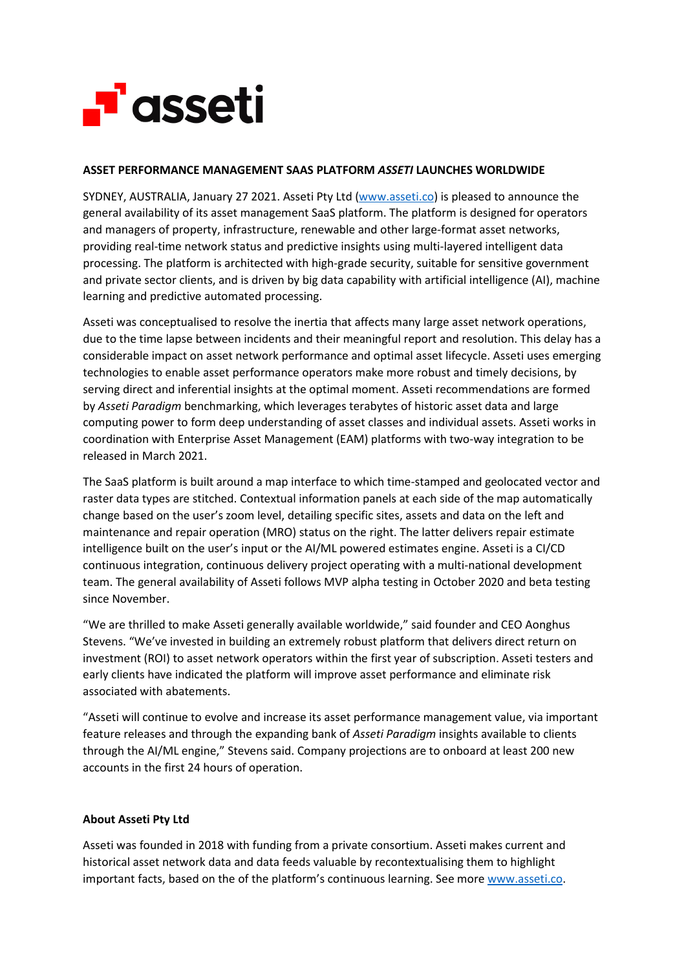

## **ASSET PERFORMANCE MANAGEMENT SAAS PLATFORM** *ASSETI* **LAUNCHES WORLDWIDE**

SYDNEY, AUSTRALIA, January 27 2021. Asseti Pty Ltd [\(www.asseti.co\)](http://www.asseti.co/) is pleased to announce the general availability of its asset management SaaS platform. The platform is designed for operators and managers of property, infrastructure, renewable and other large-format asset networks, providing real-time network status and predictive insights using multi-layered intelligent data processing. The platform is architected with high-grade security, suitable for sensitive government and private sector clients, and is driven by big data capability with artificial intelligence (AI), machine learning and predictive automated processing.

Asseti was conceptualised to resolve the inertia that affects many large asset network operations, due to the time lapse between incidents and their meaningful report and resolution. This delay has a considerable impact on asset network performance and optimal asset lifecycle. Asseti uses emerging technologies to enable asset performance operators make more robust and timely decisions, by serving direct and inferential insights at the optimal moment. Asseti recommendations are formed by *Asseti Paradigm* benchmarking, which leverages terabytes of historic asset data and large computing power to form deep understanding of asset classes and individual assets. Asseti works in coordination with Enterprise Asset Management (EAM) platforms with two-way integration to be released in March 2021.

The SaaS platform is built around a map interface to which time-stamped and geolocated vector and raster data types are stitched. Contextual information panels at each side of the map automatically change based on the user's zoom level, detailing specific sites, assets and data on the left and maintenance and repair operation (MRO) status on the right. The latter delivers repair estimate intelligence built on the user's input or the AI/ML powered estimates engine. Asseti is a CI/CD continuous integration, continuous delivery project operating with a multi-national development team. The general availability of Asseti follows MVP alpha testing in October 2020 and beta testing since November.

"We are thrilled to make Asseti generally available worldwide," said founder and CEO Aonghus Stevens. "We've invested in building an extremely robust platform that delivers direct return on investment (ROI) to asset network operators within the first year of subscription. Asseti testers and early clients have indicated the platform will improve asset performance and eliminate risk associated with abatements.

"Asseti will continue to evolve and increase its asset performance management value, via important feature releases and through the expanding bank of *Asseti Paradigm* insights available to clients through the AI/ML engine," Stevens said. Company projections are to onboard at least 200 new accounts in the first 24 hours of operation.

## **About Asseti Pty Ltd**

Asseti was founded in 2018 with funding from a private consortium. Asseti makes current and historical asset network data and data feeds valuable by recontextualising them to highlight important facts, based on the of the platform's continuous learning. See more [www.asseti.co.](http://www.asseti.co/)